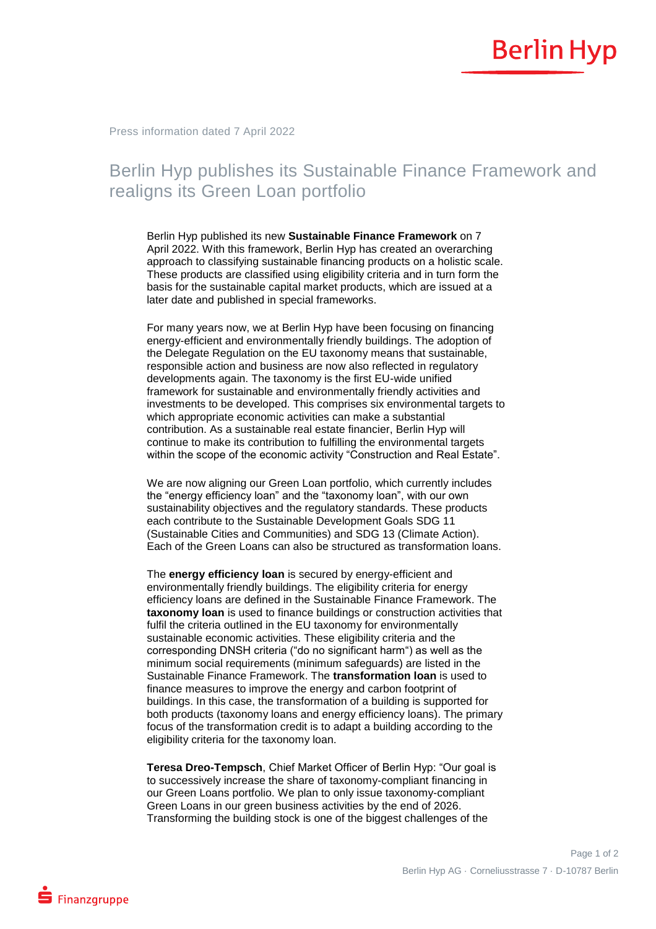Press information dated 7 April 2022

## Berlin Hyp publishes its Sustainable Finance Framework and realigns its Green Loan portfolio

Berlin Hyp published its new **Sustainable Finance Framework** on 7 April 2022. With this framework, Berlin Hyp has created an overarching approach to classifying sustainable financing products on a holistic scale. These products are classified using eligibility criteria and in turn form the basis for the sustainable capital market products, which are issued at a later date and published in special frameworks.

For many years now, we at Berlin Hyp have been focusing on financing energy-efficient and environmentally friendly buildings. The adoption of the Delegate Regulation on the EU taxonomy means that sustainable, responsible action and business are now also reflected in regulatory developments again. The taxonomy is the first EU-wide unified framework for sustainable and environmentally friendly activities and investments to be developed. This comprises six environmental targets to which appropriate economic activities can make a substantial contribution. As a sustainable real estate financier, Berlin Hyp will continue to make its contribution to fulfilling the environmental targets within the scope of the economic activity "Construction and Real Estate".

We are now aligning our Green Loan portfolio, which currently includes the "energy efficiency loan" and the "taxonomy loan", with our own sustainability objectives and the regulatory standards. These products each contribute to the Sustainable Development Goals SDG 11 (Sustainable Cities and Communities) and SDG 13 (Climate Action). Each of the Green Loans can also be structured as transformation loans.

The **energy efficiency loan** is secured by energy-efficient and environmentally friendly buildings. The eligibility criteria for energy efficiency loans are defined in the Sustainable Finance Framework. The **taxonomy loan** is used to finance buildings or construction activities that fulfil the criteria outlined in the EU taxonomy for environmentally sustainable economic activities. These eligibility criteria and the corresponding DNSH criteria ("do no significant harm") as well as the minimum social requirements (minimum safeguards) are listed in the Sustainable Finance Framework. The **transformation loan** is used to finance measures to improve the energy and carbon footprint of buildings. In this case, the transformation of a building is supported for both products (taxonomy loans and energy efficiency loans). The primary focus of the transformation credit is to adapt a building according to the eligibility criteria for the taxonomy loan.

**Teresa Dreo-Tempsch**, Chief Market Officer of Berlin Hyp: "Our goal is to successively increase the share of taxonomy-compliant financing in our Green Loans portfolio. We plan to only issue taxonomy-compliant Green Loans in our green business activities by the end of 2026. Transforming the building stock is one of the biggest challenges of the